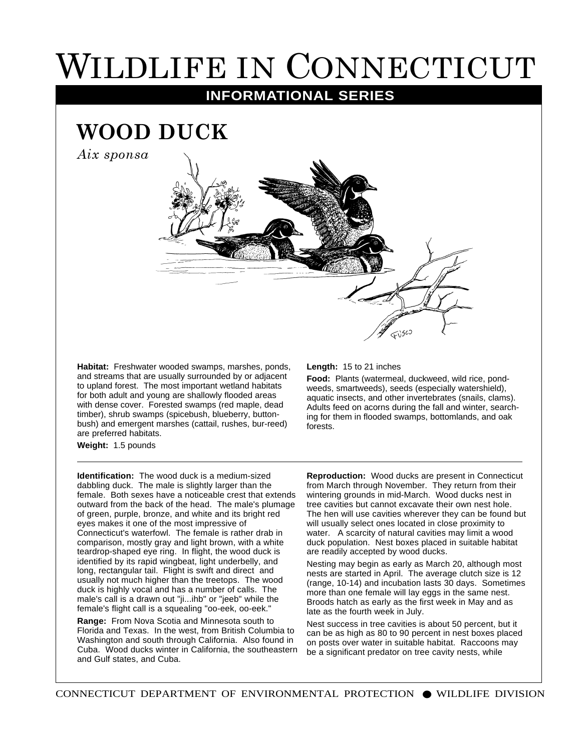## WILDLIFE IN CONNECTICUT

**INFORMATIONAL SERIES**

## **WOOD DUCK**

*Aix sponsa*



**Habitat:** Freshwater wooded swamps, marshes, ponds, and streams that are usually surrounded by or adjacent to upland forest. The most important wetland habitats for both adult and young are shallowly flooded areas with dense cover. Forested swamps (red maple, dead timber), shrub swamps (spicebush, blueberry, buttonbush) and emergent marshes (cattail, rushes, bur-reed) are preferred habitats.

**Weight:** 1.5 pounds

**Identification:** The wood duck is a medium-sized dabbling duck. The male is slightly larger than the female. Both sexes have a noticeable crest that extends outward from the back of the head. The male's plumage of green, purple, bronze, and white and its bright red eyes makes it one of the most impressive of Connecticut's waterfowl. The female is rather drab in comparison, mostly gray and light brown, with a white teardrop-shaped eye ring. In flight, the wood duck is identified by its rapid wingbeat, light underbelly, and long, rectangular tail. Flight is swift and direct and usually not much higher than the treetops. The wood duck is highly vocal and has a number of calls. The male's call is a drawn out "ji...ihb" or "jeeb" while the female's flight call is a squealing "oo-eek, oo-eek."

**Range:** From Nova Scotia and Minnesota south to Florida and Texas. In the west, from British Columbia to Washington and south through California. Also found in Cuba. Wood ducks winter in California, the southeastern and Gulf states, and Cuba.

## **Length:** 15 to 21 inches

**Food:** Plants (watermeal, duckweed, wild rice, pondweeds, smartweeds), seeds (especially watershield), aquatic insects, and other invertebrates (snails, clams). Adults feed on acorns during the fall and winter, searching for them in flooded swamps, bottomlands, and oak forests.

**Reproduction:** Wood ducks are present in Connecticut from March through November. They return from their wintering grounds in mid-March. Wood ducks nest in tree cavities but cannot excavate their own nest hole. The hen will use cavities wherever they can be found but will usually select ones located in close proximity to water. A scarcity of natural cavities may limit a wood duck population. Nest boxes placed in suitable habitat are readily accepted by wood ducks.

Nesting may begin as early as March 20, although most nests are started in April. The average clutch size is 12 (range, 10-14) and incubation lasts 30 days. Sometimes more than one female will lay eggs in the same nest. Broods hatch as early as the first week in May and as late as the fourth week in July.

Nest success in tree cavities is about 50 percent, but it can be as high as 80 to 90 percent in nest boxes placed on posts over water in suitable habitat. Raccoons may be a significant predator on tree cavity nests, while